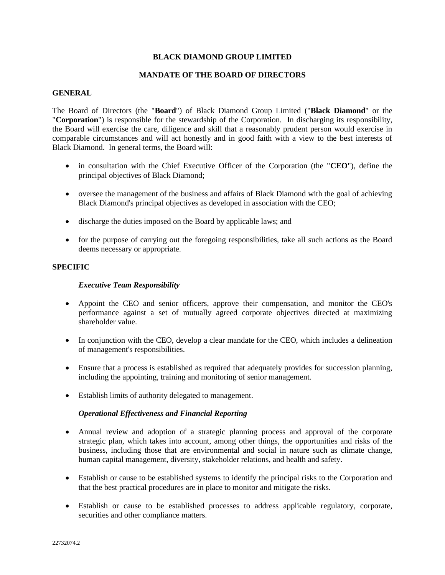### **BLACK DIAMOND GROUP LIMITED**

#### **MANDATE OF THE BOARD OF DIRECTORS**

### **GENERAL**

The Board of Directors (the "**Board**") of Black Diamond Group Limited ("**Black Diamond**" or the "**Corporation**") is responsible for the stewardship of the Corporation. In discharging its responsibility, the Board will exercise the care, diligence and skill that a reasonably prudent person would exercise in comparable circumstances and will act honestly and in good faith with a view to the best interests of Black Diamond. In general terms, the Board will:

- in consultation with the Chief Executive Officer of the Corporation (the "**CEO**"), define the principal objectives of Black Diamond;
- oversee the management of the business and affairs of Black Diamond with the goal of achieving Black Diamond's principal objectives as developed in association with the CEO;
- discharge the duties imposed on the Board by applicable laws; and
- for the purpose of carrying out the foregoing responsibilities, take all such actions as the Board deems necessary or appropriate.

#### **SPECIFIC**

#### *Executive Team Responsibility*

- Appoint the CEO and senior officers, approve their compensation, and monitor the CEO's performance against a set of mutually agreed corporate objectives directed at maximizing shareholder value.
- In conjunction with the CEO, develop a clear mandate for the CEO, which includes a delineation of management's responsibilities.
- Ensure that a process is established as required that adequately provides for succession planning, including the appointing, training and monitoring of senior management.
- Establish limits of authority delegated to management.

#### *Operational Effectiveness and Financial Reporting*

- Annual review and adoption of a strategic planning process and approval of the corporate strategic plan, which takes into account, among other things, the opportunities and risks of the business, including those that are environmental and social in nature such as climate change, human capital management, diversity, stakeholder relations, and health and safety.
- Establish or cause to be established systems to identify the principal risks to the Corporation and that the best practical procedures are in place to monitor and mitigate the risks.
- Establish or cause to be established processes to address applicable regulatory, corporate, securities and other compliance matters.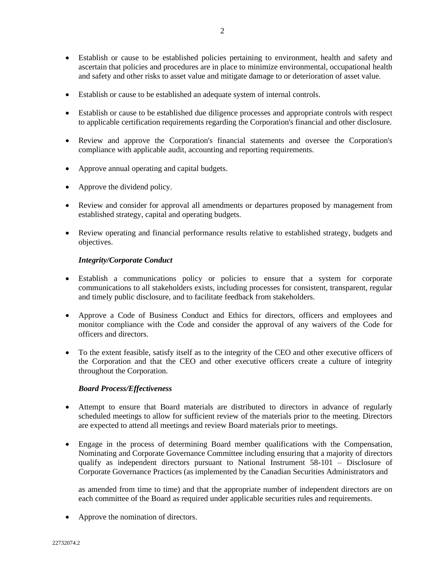- Establish or cause to be established policies pertaining to environment, health and safety and ascertain that policies and procedures are in place to minimize environmental, occupational health and safety and other risks to asset value and mitigate damage to or deterioration of asset value.
- Establish or cause to be established an adequate system of internal controls.
- Establish or cause to be established due diligence processes and appropriate controls with respect to applicable certification requirements regarding the Corporation's financial and other disclosure.
- Review and approve the Corporation's financial statements and oversee the Corporation's compliance with applicable audit, accounting and reporting requirements.
- Approve annual operating and capital budgets.
- Approve the dividend policy.
- Review and consider for approval all amendments or departures proposed by management from established strategy, capital and operating budgets.
- Review operating and financial performance results relative to established strategy, budgets and objectives.

# *Integrity/Corporate Conduct*

- Establish a communications policy or policies to ensure that a system for corporate communications to all stakeholders exists, including processes for consistent, transparent, regular and timely public disclosure, and to facilitate feedback from stakeholders.
- Approve a Code of Business Conduct and Ethics for directors, officers and employees and monitor compliance with the Code and consider the approval of any waivers of the Code for officers and directors.
- To the extent feasible, satisfy itself as to the integrity of the CEO and other executive officers of the Corporation and that the CEO and other executive officers create a culture of integrity throughout the Corporation.

# *Board Process/Effectiveness*

- Attempt to ensure that Board materials are distributed to directors in advance of regularly scheduled meetings to allow for sufficient review of the materials prior to the meeting. Directors are expected to attend all meetings and review Board materials prior to meetings.
- Engage in the process of determining Board member qualifications with the Compensation, Nominating and Corporate Governance Committee including ensuring that a majority of directors qualify as independent directors pursuant to National Instrument 58-101 – Disclosure of Corporate Governance Practices (as implemented by the Canadian Securities Administrators and

as amended from time to time) and that the appropriate number of independent directors are on each committee of the Board as required under applicable securities rules and requirements.

• Approve the nomination of directors.